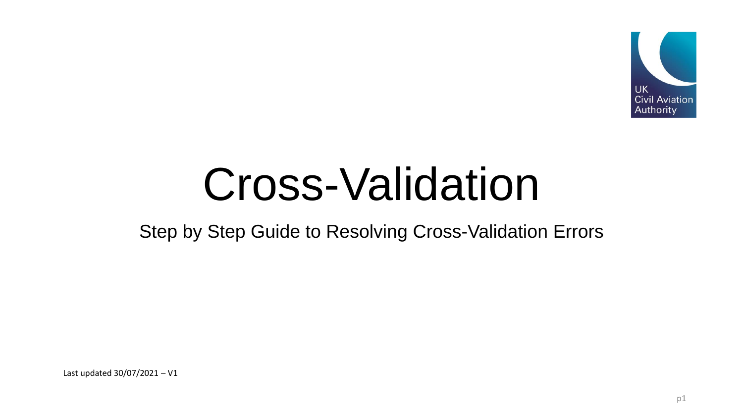

# Cross-Validation

### Step by Step Guide to Resolving Cross-Validation Errors

Last updated 30/07/2021 – V1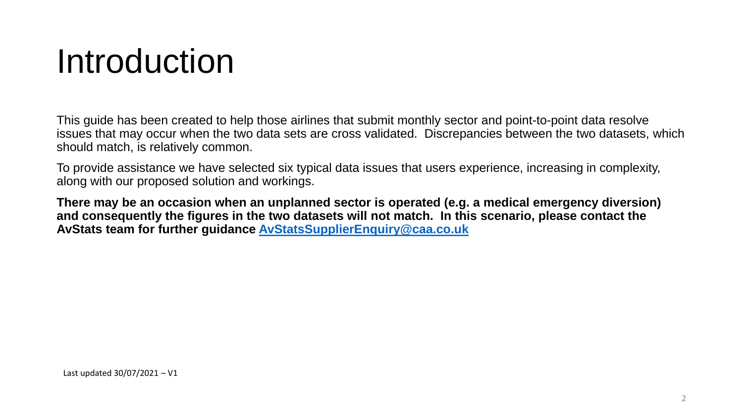### Introduction

This guide has been created to help those airlines that submit monthly sector and point-to-point data resolve issues that may occur when the two data sets are cross validated. Discrepancies between the two datasets, which should match, is relatively common.

To provide assistance we have selected six typical data issues that users experience, increasing in complexity, along with our proposed solution and workings.

**There may be an occasion when an unplanned sector is operated (e.g. a medical emergency diversion) and consequently the figures in the two datasets will not match. In this scenario, please contact the AvStats team for further guidance [AvStatsSupplierEnquiry@caa.co.uk](mailto:AvStatsSupplierEnquiry@caa.co.uk)**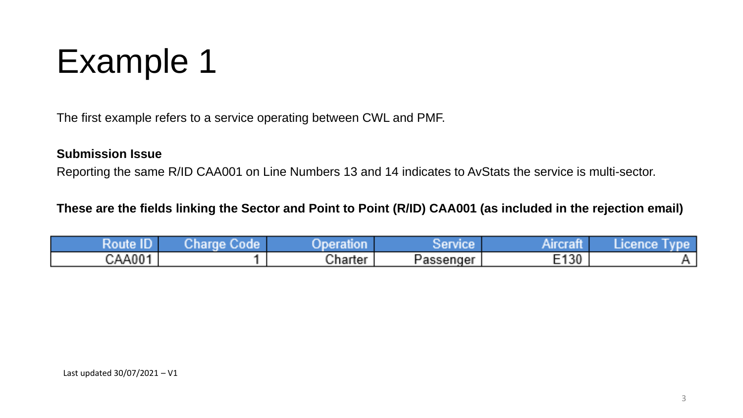## Example 1

The first example refers to a service operating between CWL and PMF.

#### **Submission Issue**

Reporting the same R/ID CAA001 on Line Numbers 13 and 14 indicates to AvStats the service is multi-sector.

**These are the fields linking the Sector and Point to Point (R/ID) CAA001 (as included in the rejection email)**

| Rou    | and a<br>⊍nan | lotel #<br>1UO I<br>85 L C | - イーン 直示:日本イン | . .<br><b>TO 11</b> | <b>TEN ON</b> |
|--------|---------------|----------------------------|---------------|---------------------|---------------|
| CAA001 |               | Charter                    | Passenger     | E130                |               |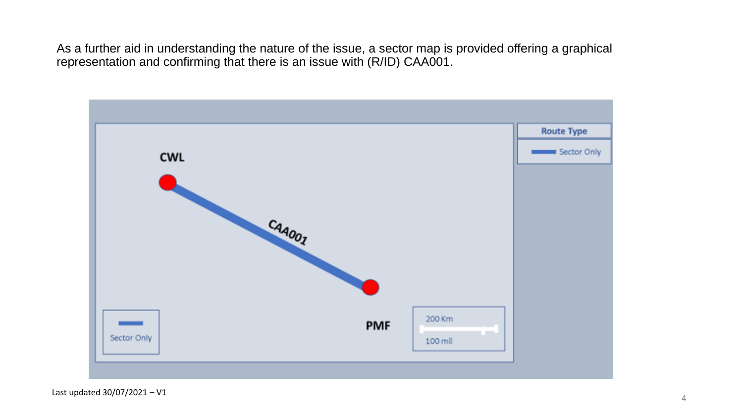As a further aid in understanding the nature of the issue, a sector map is provided offering a graphical representation and confirming that there is an issue with (R/ID) CAA001.

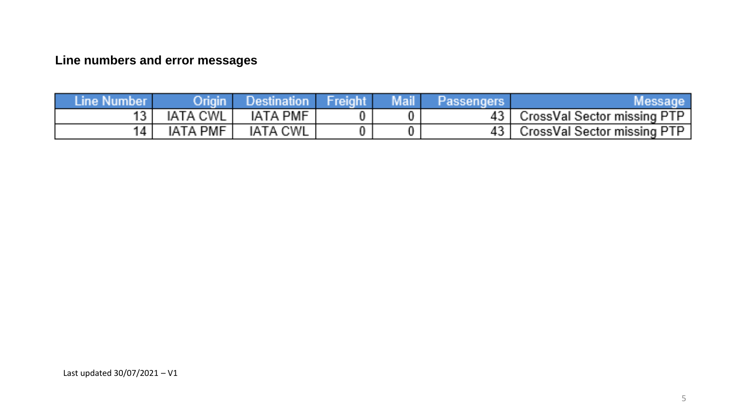### **Line numbers and error messages**

| Message,                    | Passengers | Mail' | Freight, | <b>Destination</b> | Origin          | Line Number |
|-----------------------------|------------|-------|----------|--------------------|-----------------|-------------|
| CrossVal Sector missing PTP |            |       |          | IATA PMF           | IATA CWL        |             |
| CrossVal Sector missing PTP |            |       |          | IATA CWL           | <b>IATA PMF</b> |             |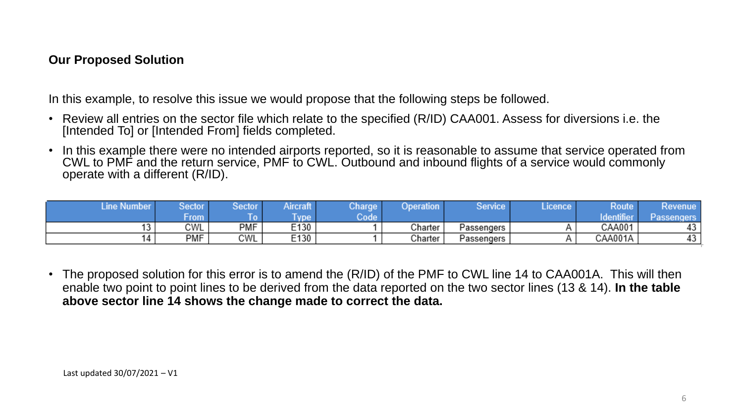#### **Our Proposed Solution**

In this example, to resolve this issue we would propose that the following steps be followed.

- Review all entries on the sector file which relate to the specified (R/ID) CAA001. Assess for diversions i.e. the [Intended To] or [Intended From] fields completed.
- In this example there were no intended airports reported, so it is reasonable to assume that service operated from CWL to PMF and the return service, PMF to CWL. Outbound and inbound flights of a service would commonly operate with a different (R/ID).

| : Number<br>Line | Sector     | <b>Sector</b> | Aircraft | Charge | Operation | Service    | Licence | Route     | Revenue    |
|------------------|------------|---------------|----------|--------|-----------|------------|---------|-----------|------------|
|                  | <b>rom</b> |               | ype      | Code   |           |            |         | dentifier | Passengers |
|                  | CWL        | PMF           | E130     |        | Charter   | Passengers |         | CAA001    |            |
|                  | PMF        | CWL           | E130     |        | Charter   | Passengers |         | CAA001A   | .,         |

• The proposed solution for this error is to amend the (R/ID) of the PMF to CWL line 14 to CAA001A. This will then enable two point to point lines to be derived from the data reported on the two sector lines (13 & 14). **In the table above sector line 14 shows the change made to correct the data.**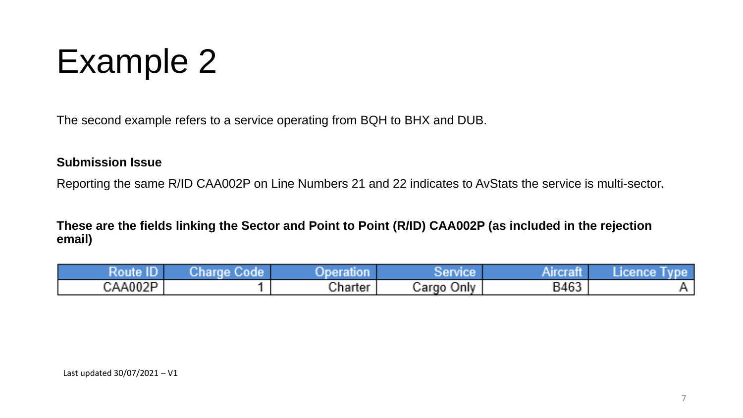

The second example refers to a service operating from BQH to BHX and DUB.

#### **Submission Issue**

Reporting the same R/ID CAA002P on Line Numbers 21 and 22 indicates to AvStats the service is multi-sector.

**These are the fields linking the Sector and Point to Point (R/ID) CAA002P (as included in the rejection email)**

| IB<br>Ro | Jharde i<br>oe | Aneratio | $-10$ matrices $-$                    | . .<br>Airer | 'Icence<br><b>TIPS ATS</b> |
|----------|----------------|----------|---------------------------------------|--------------|----------------------------|
| CAA002P  |                | Charter  | and the contract of<br>√univ<br>√argo | B463         |                            |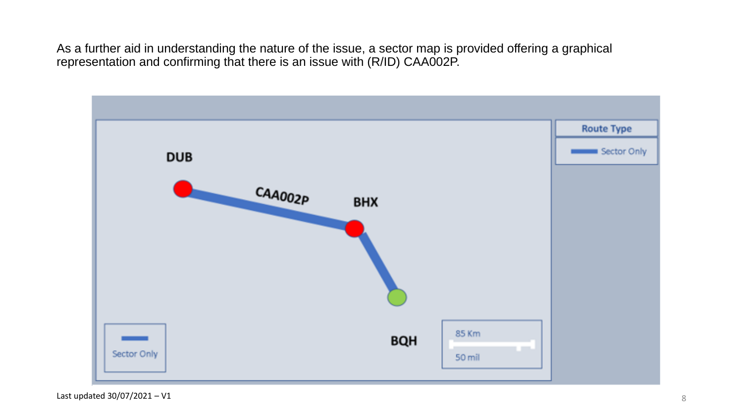As a further aid in understanding the nature of the issue, a sector map is provided offering a graphical representation and confirming that there is an issue with (R/ID) CAA002P.

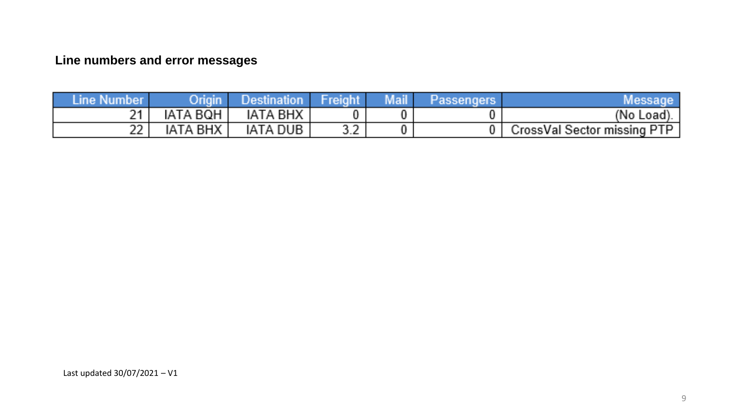#### **Line numbers and error messages**

| Line Number | Origin   | Destination     | Freight                          | Mail | Message                     |
|-------------|----------|-----------------|----------------------------------|------|-----------------------------|
| m 4 L       | IATA BQH | IATA BHX        |                                  |      | (No Load).                  |
| an an an a  | IATA BHX | <b>IATA DUB</b> | and the control<br>استكاده المعا |      | CrossVal Sector missing PTP |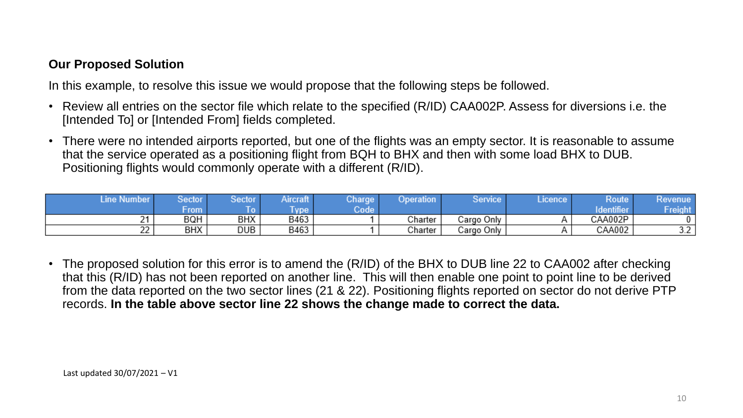#### **Our Proposed Solution**

In this example, to resolve this issue we would propose that the following steps be followed.

- Review all entries on the sector file which relate to the specified (R/ID) CAA002P. Assess for diversions i.e. the [Intended To] or [Intended From] fields completed.
- There were no intended airports reported, but one of the flights was an empty sector. It is reasonable to assume that the service operated as a positioning flight from BQH to BHX and then with some load BHX to DUB. Positioning flights would commonly operate with a different (R/ID).

| Number<br>u     | Sector     | Sector | ансгап | Charge | Dperation | Service    | icence | Route     | <b>Revenue</b>       |
|-----------------|------------|--------|--------|--------|-----------|------------|--------|-----------|----------------------|
|                 | <b>TOM</b> |        | vpe    | Code   |           |            |        | Identifie | ant                  |
| ົ<br><u>_</u>   | BQH        | BHX    | B463   |        | Charter   | Cargo Only |        | CAA002P   | 0                    |
| --<br><u>__</u> | <b>BHX</b> | DUB    | B463   |        | Charter   | Cargo Only |        | CAA002    | $\sim$ $\sim$<br>J.L |

• The proposed solution for this error is to amend the (R/ID) of the BHX to DUB line 22 to CAA002 after checking that this (R/ID) has not been reported on another line. This will then enable one point to point line to be derived from the data reported on the two sector lines (21 & 22). Positioning flights reported on sector do not derive PTP records. **In the table above sector line 22 shows the change made to correct the data.**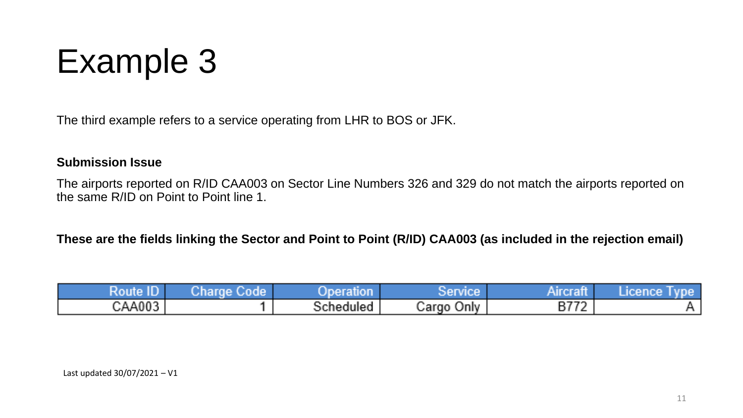## Example 3

The third example refers to a service operating from LHR to BOS or JFK.

#### **Submission Issue**

The airports reported on R/ID CAA003 on Sector Line Numbers 326 and 329 do not match the airports reported on the same R/ID on Point to Point line 1.

**These are the fields linking the Sector and Point to Point (R/ID) CAA003 (as included in the rejection email)**

| <b>ALL V</b><br>Route <sup>1</sup> | Zharge M<br><b>ALL DESCRIPTION</b> | 시 어려운?<br>топ | Service       | Aircraft               | <b>Neenee</b><br><b>INVESTIGATION</b> |
|------------------------------------|------------------------------------|---------------|---------------|------------------------|---------------------------------------|
| CAA003                             |                                    | Scheduled     | Jniv<br>Cargo | <b>B772</b><br>ы.<br>. |                                       |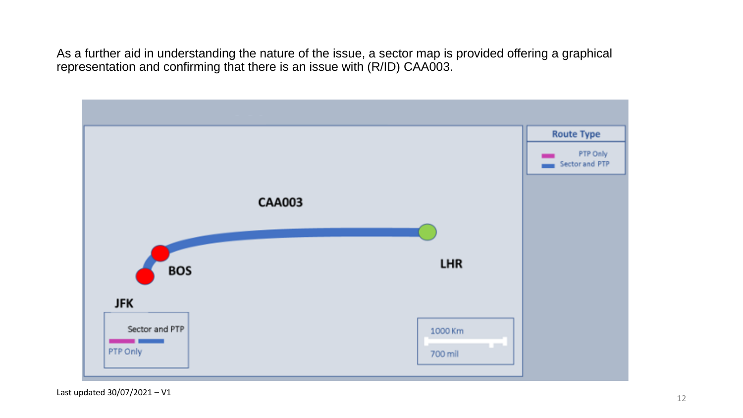As a further aid in understanding the nature of the issue, a sector map is provided offering a graphical representation and confirming that there is an issue with (R/ID) CAA003.



Last updated 30/07/2021 – V1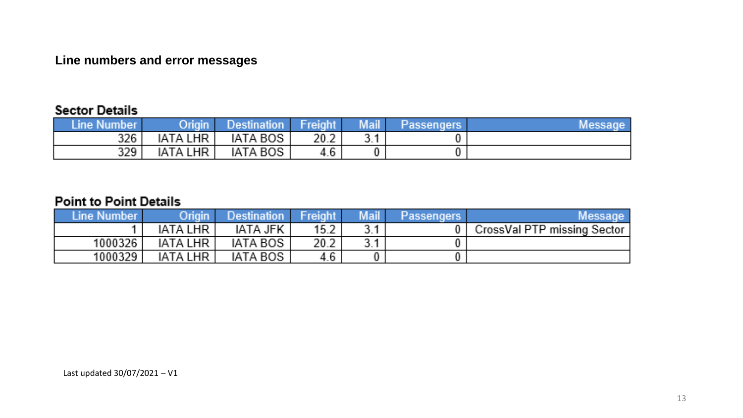#### Line numbers and error messages

#### **Sector Details**

| ∕Line Number∕ | Origin          | Destination I | / Freight/ | Mail   | Passengers \ | Message |
|---------------|-----------------|---------------|------------|--------|--------------|---------|
| 326           | <b>IATA LHR</b> | IATA BOS      | 20.2       | 74 J.H |              |         |
| 329           | <b>IATA LHR</b> | IATA BOS      | 4.6        |        |              |         |

#### **Point to Point Details**

| ∕Line Number∕ | Origin          | /Destination/ | $\sqrt{\frac{1}{2}}$ Freight $\sqrt{\frac{1}{2}}$ | Mail | <b>Passengers</b> | Message                     |
|---------------|-----------------|---------------|---------------------------------------------------|------|-------------------|-----------------------------|
|               | <b>IATA LHR</b> | IATA JFK      | $15.2^{\circ}$                                    |      |                   | CrossVal PTP missing Sector |
| 1000326       | <b>IATA LHR</b> | IATA BOS      | $20.2^{\circ}$                                    |      |                   |                             |
| 1000329       | IATA LHR        | IATA BOS      | 4.6                                               |      |                   |                             |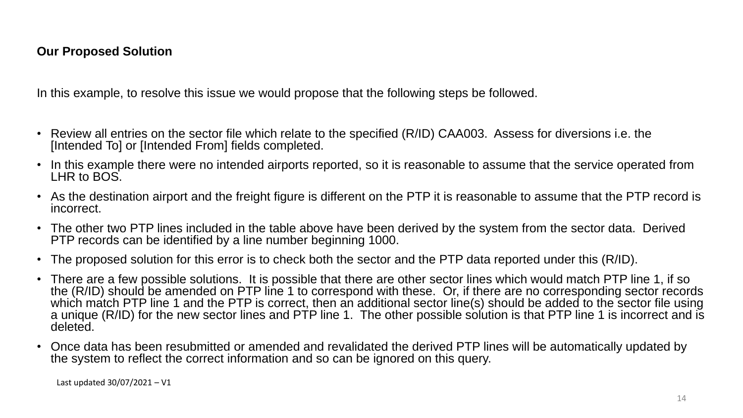#### **Our Proposed Solution**

In this example, to resolve this issue we would propose that the following steps be followed.

- Review all entries on the sector file which relate to the specified (R/ID) CAA003. Assess for diversions i.e. the [Intended To] or [Intended From] fields completed.
- In this example there were no intended airports reported, so it is reasonable to assume that the service operated from LHR to BOS.
- As the destination airport and the freight figure is different on the PTP it is reasonable to assume that the PTP record is incorrect.
- The other two PTP lines included in the table above have been derived by the system from the sector data. Derived PTP records can be identified by a line number beginning 1000.
- The proposed solution for this error is to check both the sector and the PTP data reported under this (R/ID).
- There are a few possible solutions. It is possible that there are other sector lines which would match PTP line 1, if so the (R/ID) should be amended on PTP line 1 to correspond with these. Or, if there are no corresponding sector records which match PTP line 1 and the PTP is correct, then an additional sector line(s) should be added to the sector file using a unique (R/ID) for the new sector lines and PTP line 1. The other possible solution is that PTP line 1 is incorrect and is deleted.
- Once data has been resubmitted or amended and revalidated the derived PTP lines will be automatically updated by the system to reflect the correct information and so can be ignored on this query.

Last updated 30/07/2021 – V1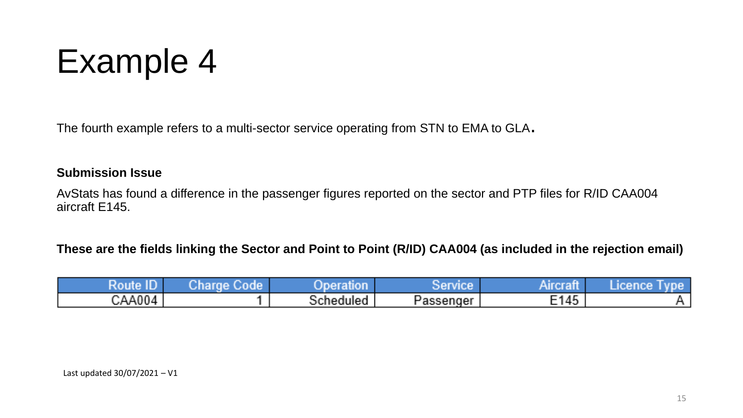### Example 4

The fourth example refers to a multi-sector service operating from STN to EMA to GLA.

#### **Submission Issue**

AvStats has found a difference in the passenger figures reported on the sector and PTP files for R/ID CAA004 aircraft E145.

#### **These are the fields linking the Sector and Point to Point (R/ID) CAA004 (as included in the rejection email)**

| <b>LEV</b><br>Rout<br>__<br>ΠP<br>ШL | oma in<br>$\sim$ 6 $\pm$ 3 $\pm$ 5 $\pm$<br>an an | ___<br>er                              | - イーン 画書 1 ドーエンジ |      | <b>FIRST JOY</b> |
|--------------------------------------|---------------------------------------------------|----------------------------------------|------------------|------|------------------|
| $\mathcal{C}$ AA004 $'$              |                                                   | <b>START</b><br>iuleo<br>c۳.<br>n ment | Passenger        | E145 |                  |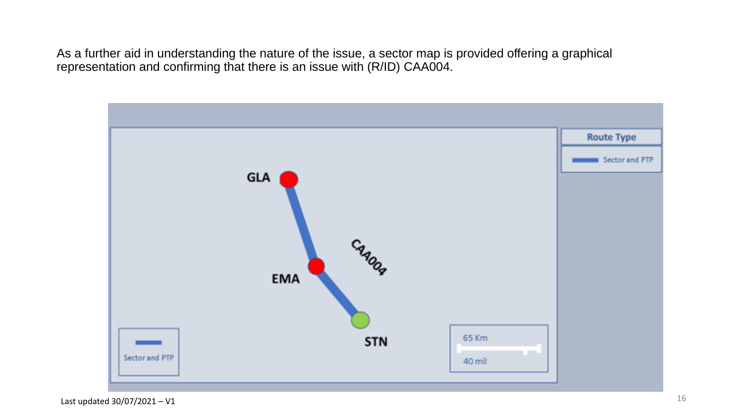As a further aid in understanding the nature of the issue, a sector map is provided offering a graphical representation and confirming that there is an issue with (R/ID) CAA004.

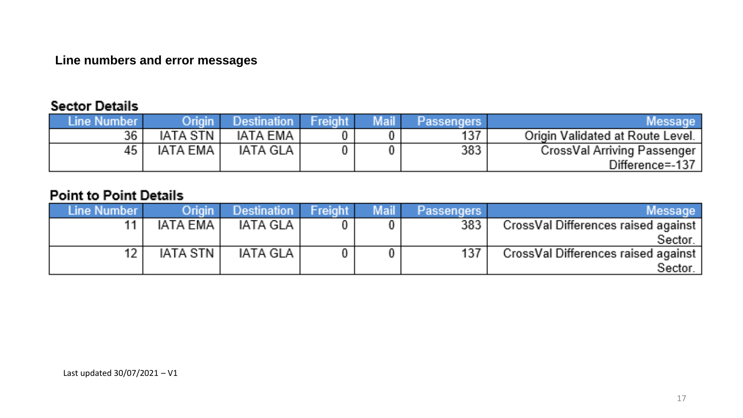#### Line numbers and error messages

#### **Sector Details**

| Line Number. | Origin   | <b>Destination</b> Freight | Mail | Passengers | Message I                        |
|--------------|----------|----------------------------|------|------------|----------------------------------|
| 36           | IATA STN | <b>IATA EMA</b>            |      | 137        | Origin Validated at Route Level. |
| 45           | IATA EMA | IATA GLA                   |      | 383        | CrossVal Arriving Passenger      |
|              |          |                            |      |            | Difference=-137                  |

#### **Point to Point Details**

| Line Number I | Origin / | Destination Freight | Mail | <b>Passengers</b> | Message                             |
|---------------|----------|---------------------|------|-------------------|-------------------------------------|
|               | IATA EMA | IATA GLA            |      | 383               | CrossVal Differences raised against |
|               |          |                     |      |                   | Sector.                             |
|               | IATA STN | IATA GLA I          |      | 137               | CrossVal Differences raised against |
|               |          |                     |      |                   | Sector                              |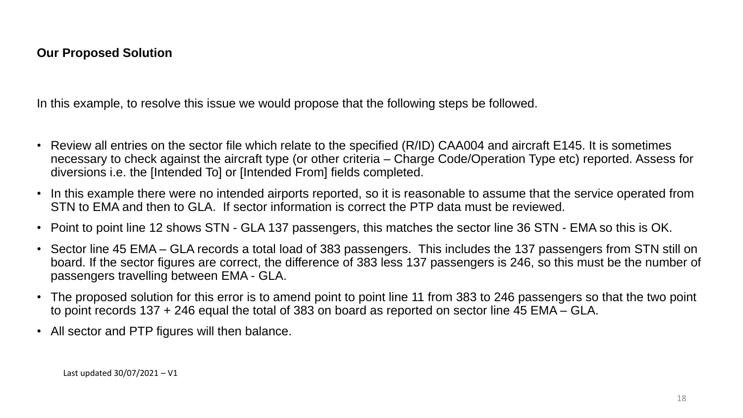#### **Our Proposed Solution**

In this example, to resolve this issue we would propose that the following steps be followed.

- Review all entries on the sector file which relate to the specified (R/ID) CAA004 and aircraft E145. It is sometimes necessary to check against the aircraft type (or other criteria – Charge Code/Operation Type etc) reported. Assess for diversions i.e. the [Intended To] or [Intended From] fields completed.
- In this example there were no intended airports reported, so it is reasonable to assume that the service operated from STN to EMA and then to GLA. If sector information is correct the PTP data must be reviewed.
- Point to point line 12 shows STN GLA 137 passengers, this matches the sector line 36 STN EMA so this is OK.
- Sector line 45 EMA GLA records a total load of 383 passengers. This includes the 137 passengers from STN still on board. If the sector figures are correct, the difference of 383 less 137 passengers is 246, so this must be the number of passengers travelling between EMA - GLA.
- The proposed solution for this error is to amend point to point line 11 from 383 to 246 passengers so that the two point to point records 137 + 246 equal the total of 383 on board as reported on sector line 45 EMA – GLA.
- All sector and PTP figures will then balance.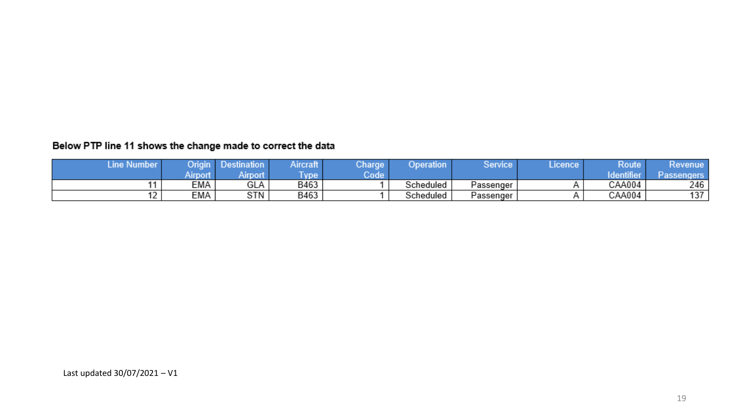#### Below PTP line 11 shows the change made to correct the data

| Line Number | Origin   | <b>Destination</b> | Aircraft   | Charge | Operation | Service   | Licence | Route     | Kevenue           |
|-------------|----------|--------------------|------------|--------|-----------|-----------|---------|-----------|-------------------|
|             | Airport. | Airport            | <b>vpe</b> | Code   |           |           |         | dentifier | <b>Passengers</b> |
|             | EMA      | GLA                | B463       |        | Scheduled | Passenger |         | CAA004    | 246               |
|             | EMA      | STN                | B463       |        | Scheduled | Passenger |         | CAA004    | 137               |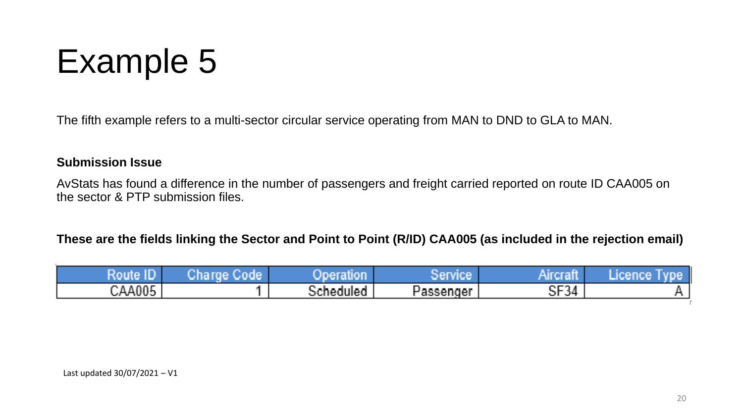## Example 5

The fifth example refers to a multi-sector circular service operating from MAN to DND to GLA to MAN.

#### **Submission Issue**

AvStats has found a difference in the number of passengers and freight carried reported on route ID CAA005 on the sector & PTP submission files.

**These are the fields linking the Sector and Point to Point (R/ID) CAA005 (as included in the rejection email)**

| TT<br><b>TTM</b><br>≺ou<br>THE<br>u. | mн<br>$\mathcal{L}$ ha $r$<br><b>THE LEAD</b> | wer<br>auor                                  | <b>September 1988</b> (1989) 1989<br><b>TATION</b> | ______           | <b>NEW YORK CONTROL</b> |
|--------------------------------------|-----------------------------------------------|----------------------------------------------|----------------------------------------------------|------------------|-------------------------|
| CAA005                               |                                               | <b>\edulea</b><br>. .<br>. a™ K<br>المتقالسة | Passenger                                          | oma a<br>ا 34'ای |                         |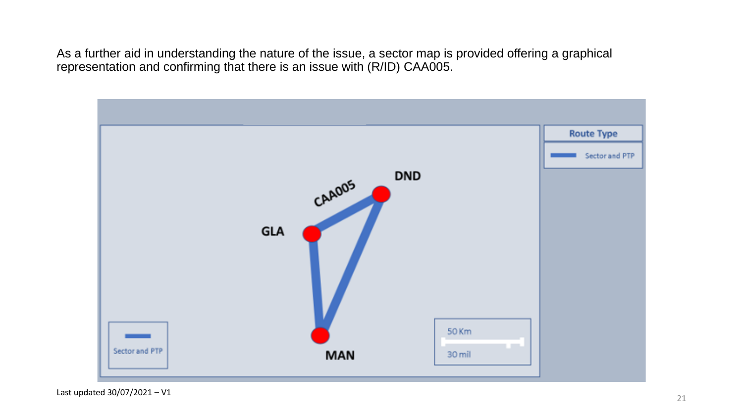As a further aid in understanding the nature of the issue, a sector map is provided offering a graphical representation and confirming that there is an issue with (R/ID) CAA005.

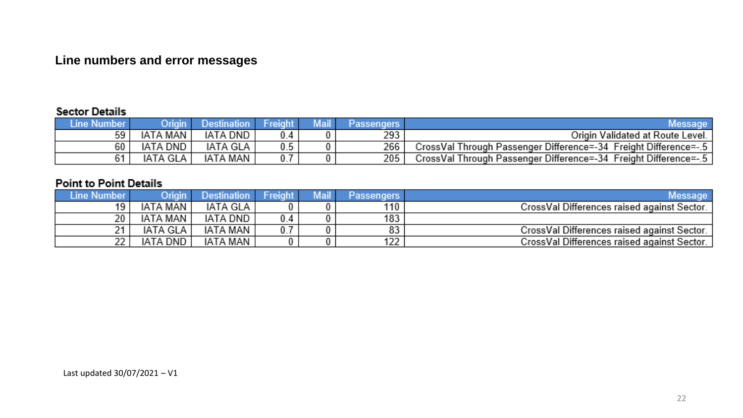#### Line numbers and error messages

#### **Sector Details**

| Line Number |          | <b>Destination</b> | <b>Freight</b> | <b>Mail</b> | Passengers |                                                                    |
|-------------|----------|--------------------|----------------|-------------|------------|--------------------------------------------------------------------|
| 59          | IATA MAN | IATA DND           | 0.4            |             | 293        | Origin Validated at Route Level.                                   |
| 60          | IATA DND | IATA GLA           | 0.5            |             | 266        | CrossVal Through Passenger Difference=-34 Freight Difference=-.5 ! |
|             | IATA GLA | IATA MAN           |                |             | 205        | CrossVal Through Passenger Difference=-34 Freight Difference=-.5   |

#### **Point to Point Details**

| Line Number | Origin   | Destination.    | Freight | Mail | Passengers | Message <sup>.</sup>                        |
|-------------|----------|-----------------|---------|------|------------|---------------------------------------------|
| 1 Q         | IATA MAN | IATA GLA        |         |      | 110        | CrossVal Differences raised against Sector. |
| 20          | IATA MAN | <b>IATA DND</b> | 0.4     |      | 183        |                                             |
|             | IATA GLA | IATA MAN        | 0.7     |      | 83         | CrossVal Differences raised against Sector. |
| 22          | IATA DND | IATA MAN        |         |      | 122        | CrossVal Differences raised against Sector. |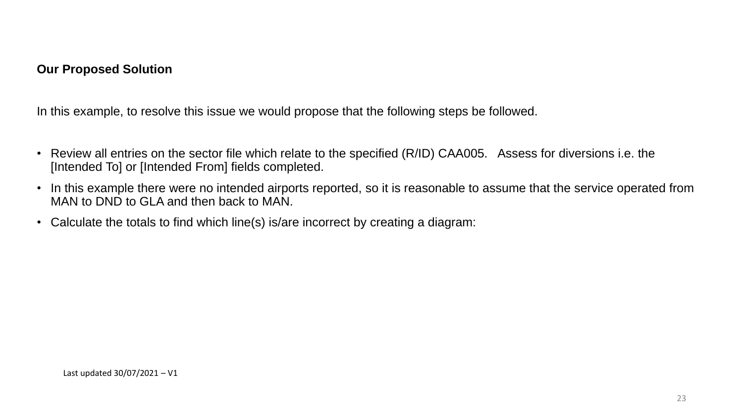#### **Our Proposed Solution**

In this example, to resolve this issue we would propose that the following steps be followed.

- Review all entries on the sector file which relate to the specified (R/ID) CAA005. Assess for diversions i.e. the [Intended To] or [Intended From] fields completed.
- In this example there were no intended airports reported, so it is reasonable to assume that the service operated from MAN to DND to GLA and then back to MAN.
- Calculate the totals to find which line(s) is/are incorrect by creating a diagram: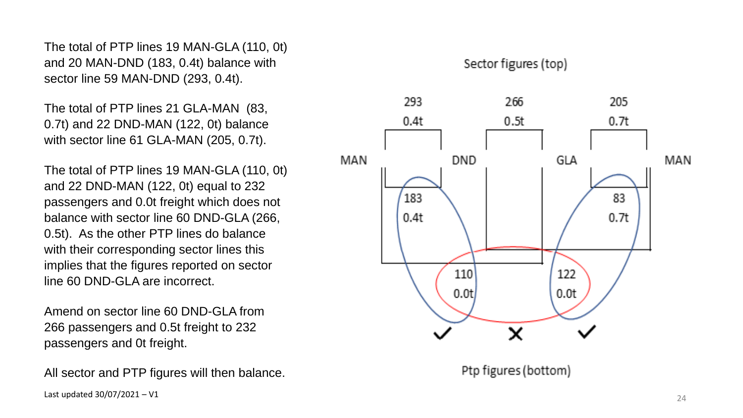The total of PTP lines 19 MAN -GLA (110, 0t) and 20 MAN -DND (183, 0.4t) balance with sector line 59 MAN -DND (293, 0.4t).

The total of PTP lines 21 GLA -MAN (83, 0.7t) and 22 DND -MAN (122, 0t) balance with sector line 61 GLA -MAN (205, 0.7t).

The total of PTP lines 19 MAN -GLA (110, 0t) and 22 DND -MAN (122, 0t) equal to 232 passengers and 0.0t freight which does not balance with sector line 60 DND -GLA (266, 0.5t). As the other PTP lines do balance with their corresponding sector lines this implies that the figures reported on sector line 60 DND -GLA are incorrect.

Amend on sector line 60 DND -GLA from 266 passengers and 0.5t freight to 232 passengers and 0t freight.

All sector and PTP figures will then balance.

Sector figures (top) 205 293 266  $0.4t$  $0.5t$  $0.7t$ **MAN** DND. **GLA** MAN 183 83  $0.7t$  $0.4t$ 110 122  $0.0<sub>t</sub>$  $0.0t$ 

Ptp figures (bottom)

X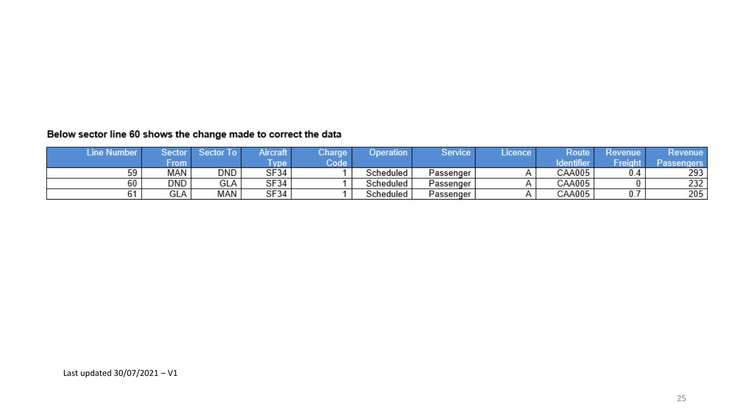#### Below sector line 60 shows the change made to correct the data

| <b>Line Number</b> | Sector            | Sector To | Aircraft   | Charge | Operation | <b>Service</b> | Licence | Route           | Revenue | Kevenue           |
|--------------------|-------------------|-----------|------------|--------|-----------|----------------|---------|-----------------|---------|-------------------|
|                    | $+$ rom $\lambda$ |           | <b>ype</b> | Code   |           |                |         | <b>Identify</b> | Freight | <b>Passengers</b> |
|                    | MAN               | DND       | SF34       |        | Scheduled | Passenger      |         | CAA005          |         | 293               |
| 60                 | DND               | GLA       | SF34       |        | Scheduled | Passenger      |         | CAA005          |         | 232               |
|                    | GLA               | MAN       | SF34       |        | Scheduled | Passenger      |         | CAA005          |         | 205               |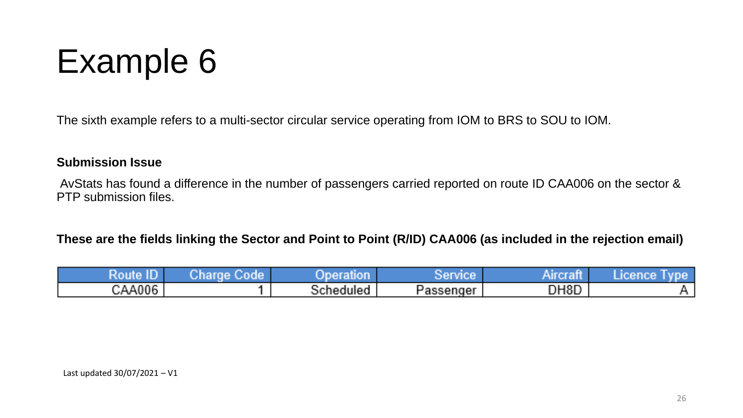## Example 6

The sixth example refers to a multi-sector circular service operating from IOM to BRS to SOU to IOM.

#### **Submission Issue**

AvStats has found a difference in the number of passengers carried reported on route ID CAA006 on the sector & PTP submission files.

#### **These are the fields linking the Sector and Point to Point (R/ID) CAA006 (as included in the rejection email)**

| <b>The Contract</b><br>Ro | 76 F<br><b>Anaro</b><br>NG PA<br>. | <b>Contract Contract Contract Contract</b> | <b>ACCEPTED AT LCCC.</b> | . .               | <b>CONTRACTOR</b><br>n Sarah |
|---------------------------|------------------------------------|--------------------------------------------|--------------------------|-------------------|------------------------------|
| CAA006                    |                                    | <b>STATISTICS</b><br>Scheduled             | Passenger                | DH <sub>8</sub> D |                              |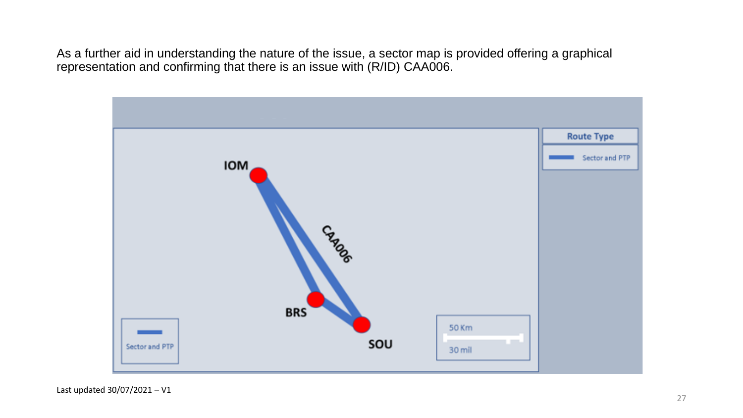As a further aid in understanding the nature of the issue, a sector map is provided offering a graphical representation and confirming that there is an issue with (R/ID) CAA006.



Last updated 30/07/2021 – V1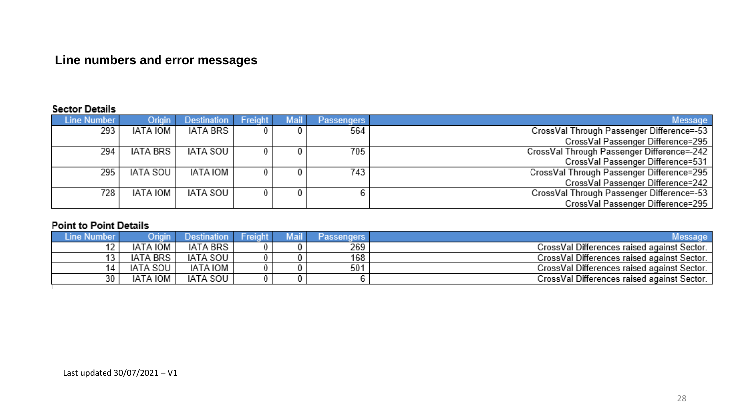#### **Line numbers and error messages**

#### **Sector Details**

|                                            | <b>Passengers</b> | <b>Mail</b> | Freight | Destination     | Origin          | Line Number |
|--------------------------------------------|-------------------|-------------|---------|-----------------|-----------------|-------------|
| CrossVal Through Passenger Difference=-53  | 564               |             |         | <b>IATA BRS</b> | <b>IATA IOM</b> | 293         |
| CrossVal Passenger Difference=295          |                   |             |         |                 |                 |             |
| CrossVal Through Passenger Difference=-242 | 705               |             |         | IATA SOU        | <b>IATA BRS</b> | 294         |
| CrossVal Passenger Difference=531          |                   |             |         |                 |                 |             |
| CrossVal Through Passenger Difference=295  | 743               |             |         | IATA IOM        | IATA SOU        | 295         |
| CrossVal Passenger Difference=242          |                   |             |         |                 |                 |             |
| CrossVal Through Passenger Difference=-53  |                   |             | 0.      | IATA SOU        | <b>IATA IOM</b> | 728         |
| CrossVal Passenger Difference=295          |                   |             |         |                 |                 |             |

#### **Point to Point Details**

| <b>IATA BRS</b><br>269<br><b>IATA IOM</b><br>CrossVal Differences raised against Sector.<br><b>IATA SOU</b><br><b>IATA BRS</b><br>168<br>CrossVal Differences raised against Sector. |  |
|--------------------------------------------------------------------------------------------------------------------------------------------------------------------------------------|--|
|                                                                                                                                                                                      |  |
|                                                                                                                                                                                      |  |
| IATA IOM<br>501<br><b>IATA SOU</b><br>CrossVal Differences raised against Sector.                                                                                                    |  |
| <b>IATA IOM</b><br><b>IATA SOU</b><br>30<br>CrossVal Differences raised against Sector.                                                                                              |  |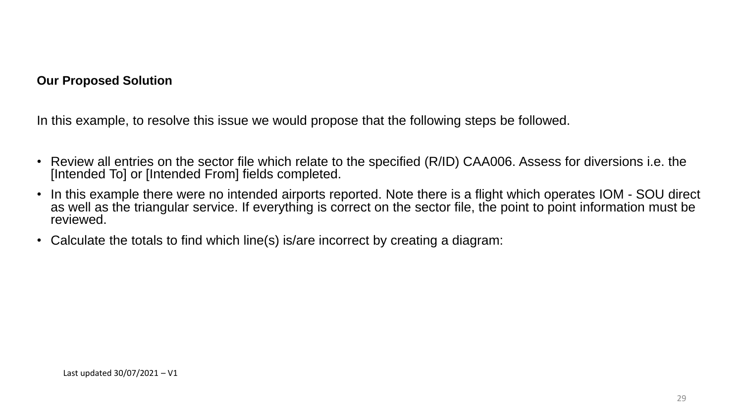#### **Our Proposed Solution**

In this example, to resolve this issue we would propose that the following steps be followed.

- Review all entries on the sector file which relate to the specified (R/ID) CAA006. Assess for diversions i.e. the [Intended To] or [Intended From] fields completed.
- In this example there were no intended airports reported. Note there is a flight which operates IOM SOU direct as well as the triangular service. If everything is correct on the sector file, the point to point information must be reviewed.
- Calculate the totals to find which line(s) is/are incorrect by creating a diagram: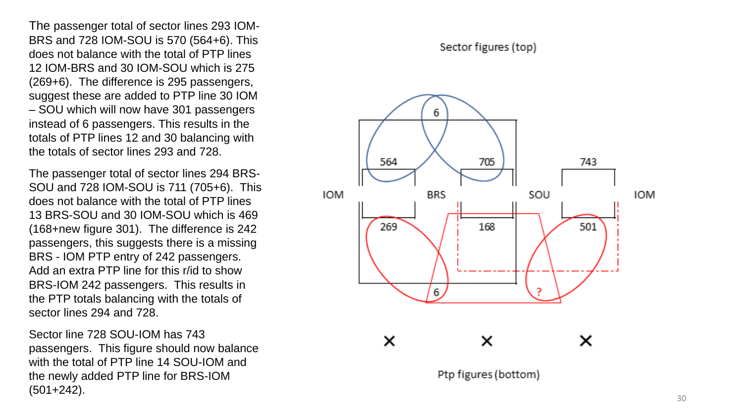The passenger total of sector lines 293 IOM - BRS and 728 IOM -SOU is 570 (564+6). This does not balance with the total of PTP lines 12 IOM -BRS and 30 IOM -SOU which is 275 (269+6). The difference is 295 passengers, suggest these are added to PTP line 30 IOM – SOU which will now have 301 passengers instead of 6 passengers. This results in the totals of PTP lines 12 and 30 balancing with the totals of sector lines 293 and 728.

The passenger total of sector lines 294 BRS - SOU and 728 IOM-SOU is 711 (705+6). This does not balance with the total of PTP lines 13 BRS -SOU and 30 IOM -SOU which is 469 (168+new figure 301). The difference is 242 passengers, this suggests there is a missing BRS - IOM PTP entry of 242 passengers. Add an extra PTP line for this r/id to show BRS -IOM 242 passengers. This results in the PTP totals balancing with the totals of sector lines 294 and 728.

Sector line 728 SOU -IOM has 743 passengers. This figure should now balance with the total of PTP line 14 SOU -IOM and the newly added PTP line for BRS -IOM (501+242).

#### Sector figures (top)



Ptp figures (bottom)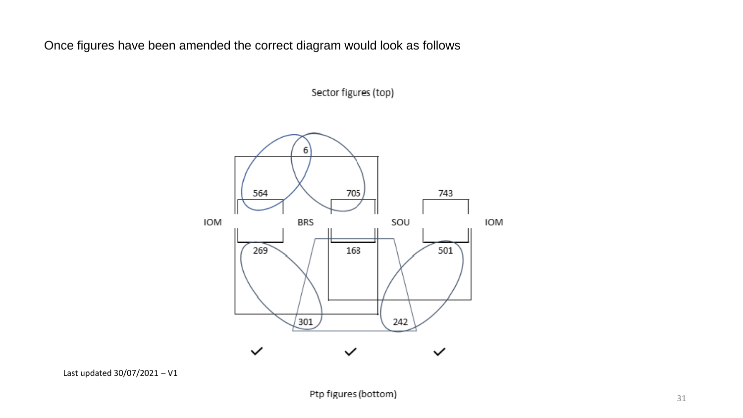Once figures have been amended the correct diagram would look as follows

Sector figures (top)

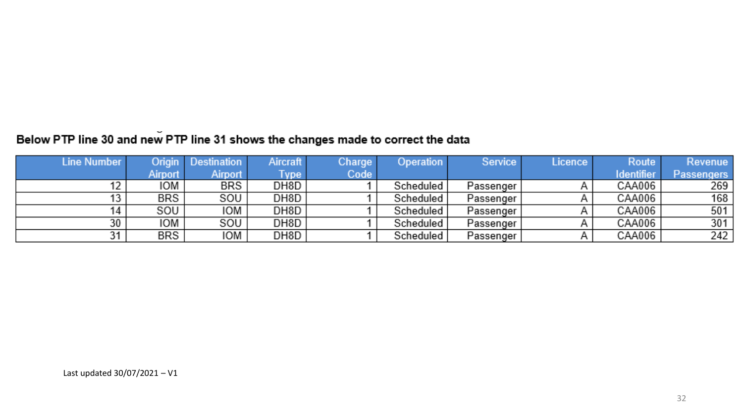### Below PTP line 30 and new PTP line 31 shows the changes made to correct the data

| Line Number |                | <b>Origin</b> Destination | Aircraft    | Charge | <b>Operation</b> | Service   | Licence | Route             | Revenue           |
|-------------|----------------|---------------------------|-------------|--------|------------------|-----------|---------|-------------------|-------------------|
|             | <b>Airport</b> | Airport                   | <b>Type</b> | Code   |                  |           |         | <b>Identifier</b> | <b>Passengers</b> |
| 12          | IOM            | BRS                       | DH8D        |        | Scheduled        | Passenger |         | CAA006            | 269               |
| 13          | BRS            | SOU                       | DH8D        |        | Scheduled        | Passenger |         | CAA006            | 168               |
| 14          | SOU            | IOM                       | DH8D        |        | Scheduled        | Passenger |         | CAA006            | 501               |
| 30          | IOM            | SOU                       | DH8D        |        | Scheduled        | Passenger |         | CAA006            | 301               |
| 31          | BRS            | IOM                       | DH8D        |        | Scheduled        | Passenger |         | CAA006            | 242               |